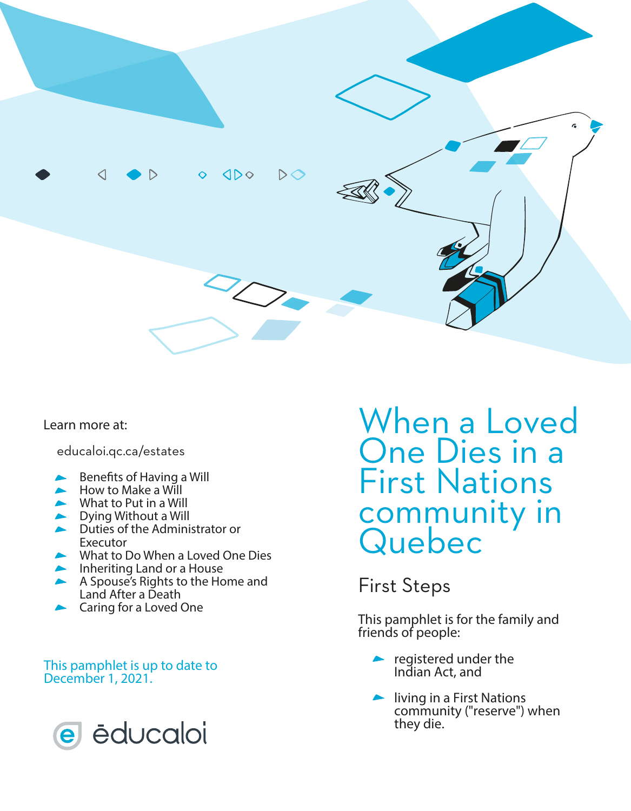

Learn more at:

educaloi.qc.ca/estates

- Benefits of Having a Will
- How to Make a Will
- What to Put in a Will
- **Dying Without a Will**
- Duties of the Administrator or Executor
- What to Do When a Loved One Dies
- **Inheriting Land or a House**
- A Spouse's Rights to the Home and Land After a Death
- Caring for a Loved One

#### This pamphlet is up to date to December 1, 2021.



When a Loved One Dies in a First Nations community in Quebec

#### First Steps

This pamphlet is for the family and friends of people:

- registered under the *Indian Act,* and
- living in a First Nations community ("reserve") when they die.